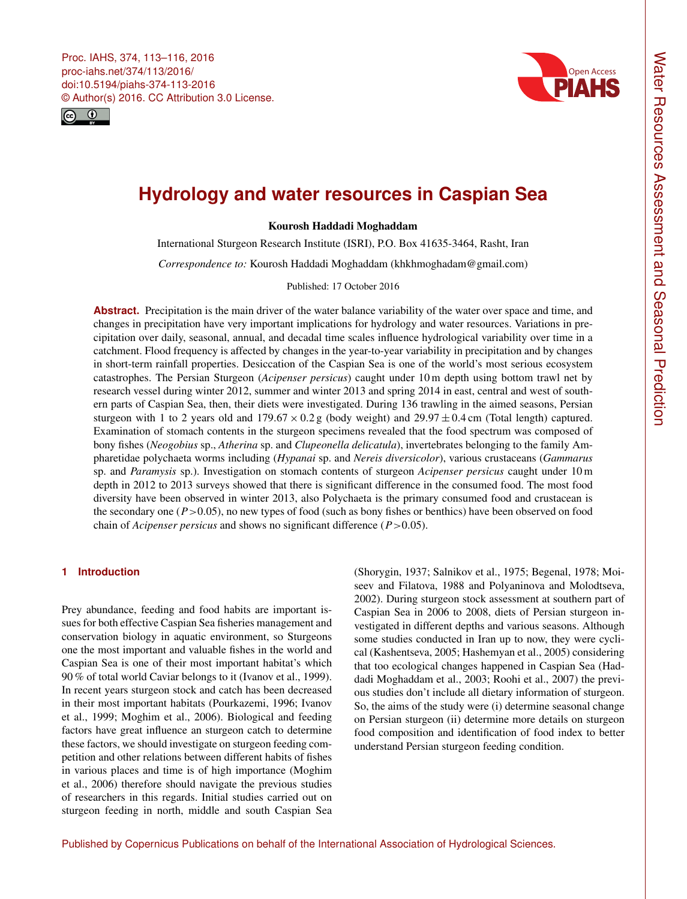<span id="page-0-0"></span>Proc. IAHS, 374, 113–116, 2016 proc-iahs.net/374/113/2016/ doi:10.5194/piahs-374-113-2016 © Author(s) 2016. CC Attribution 3.0 License.





# **Hydrology and water resources in Caspian Sea**

Kourosh Haddadi Moghaddam

International Sturgeon Research Institute (ISRI), P.O. Box 41635-3464, Rasht, Iran

*Correspondence to:* Kourosh Haddadi Moghaddam (khkhmoghadam@gmail.com)

Published: 17 October 2016

**Abstract.** Precipitation is the main driver of the water balance variability of the water over space and time, and changes in precipitation have very important implications for hydrology and water resources. Variations in precipitation over daily, seasonal, annual, and decadal time scales influence hydrological variability over time in a catchment. Flood frequency is affected by changes in the year-to-year variability in precipitation and by changes in short-term rainfall properties. Desiccation of the Caspian Sea is one of the world's most serious ecosystem catastrophes. The Persian Sturgeon (*Acipenser persicus*) caught under 10 m depth using bottom trawl net by research vessel during winter 2012, summer and winter 2013 and spring 2014 in east, central and west of southern parts of Caspian Sea, then, their diets were investigated. During 136 trawling in the aimed seasons, Persian sturgeon with 1 to 2 years old and  $179.67 \times 0.2$  g (body weight) and  $29.97 \pm 0.4$  cm (Total length) captured. Examination of stomach contents in the sturgeon specimens revealed that the food spectrum was composed of bony fishes (*Neogobius* sp., *Atherina* sp. and *Clupeonella delicatula*), invertebrates belonging to the family Ampharetidae polychaeta worms including (*Hypanai* sp. and *Nereis diversicolor*), various crustaceans (*Gammarus* sp. and *Paramysis* sp.). Investigation on stomach contents of sturgeon *Acipenser persicus* caught under 10 m depth in 2012 to 2013 surveys showed that there is significant difference in the consumed food. The most food diversity have been observed in winter 2013, also Polychaeta is the primary consumed food and crustacean is the secondary one  $(P > 0.05)$ , no new types of food (such as bony fishes or benthics) have been observed on food chain of *Acipenser persicus* and shows no significant difference (*P* > 0.05).

## **1 Introduction**

Prey abundance, feeding and food habits are important issues for both effective Caspian Sea fisheries management and conservation biology in aquatic environment, so Sturgeons one the most important and valuable fishes in the world and Caspian Sea is one of their most important habitat's which 90 % of total world Caviar belongs to it (Ivanov et al., 1999). In recent years sturgeon stock and catch has been decreased in their most important habitats (Pourkazemi, 1996; Ivanov et al., 1999; Moghim et al., 2006). Biological and feeding factors have great influence an sturgeon catch to determine these factors, we should investigate on sturgeon feeding competition and other relations between different habits of fishes in various places and time is of high importance (Moghim et al., 2006) therefore should navigate the previous studies of researchers in this regards. Initial studies carried out on sturgeon feeding in north, middle and south Caspian Sea

(Shorygin, 1937; Salnikov et al., 1975; Begenal, 1978; Moiseev and Filatova, 1988 and Polyaninova and Molodtseva, 2002). During sturgeon stock assessment at southern part of Caspian Sea in 2006 to 2008, diets of Persian sturgeon investigated in different depths and various seasons. Although some studies conducted in Iran up to now, they were cyclical (Kashentseva, 2005; Hashemyan et al., 2005) considering that too ecological changes happened in Caspian Sea (Haddadi Moghaddam et al., 2003; Roohi et al., 2007) the previous studies don't include all dietary information of sturgeon. So, the aims of the study were (i) determine seasonal change on Persian sturgeon (ii) determine more details on sturgeon food composition and identification of food index to better understand Persian sturgeon feeding condition.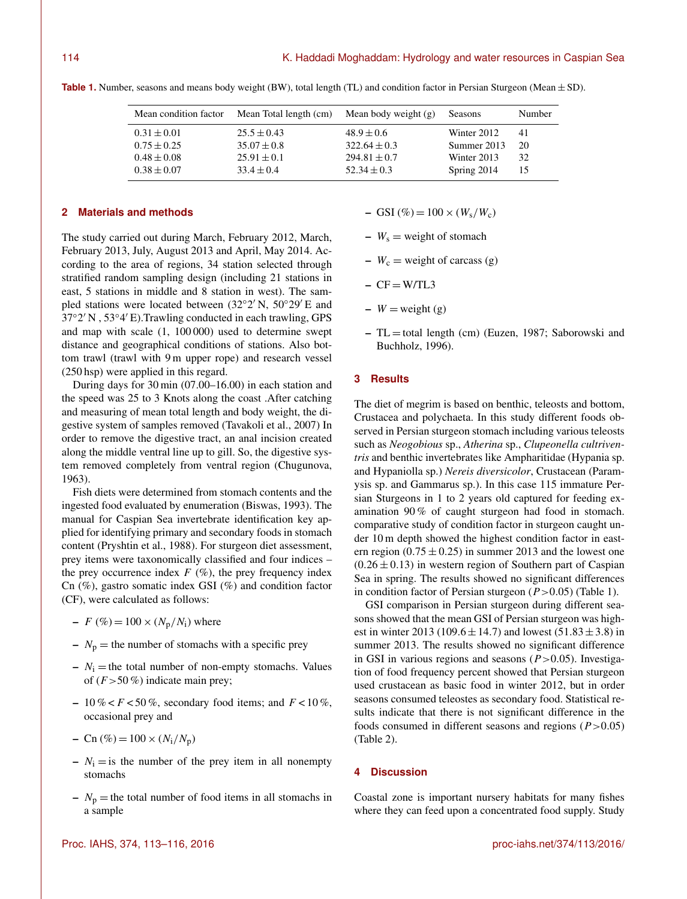| Mean condition factor | Mean Total length (cm) Mean body weight (g) |                  | Seasons     | Number |
|-----------------------|---------------------------------------------|------------------|-------------|--------|
| $0.31 \pm 0.01$       | $25.5 \pm 0.43$                             | $48.9 \pm 0.6$   | Winter 2012 | 41     |
| $0.75 \pm 0.25$       | $35.07 \pm 0.8$                             | $322.64 \pm 0.3$ | Summer 2013 | 20     |
| $0.48 \pm 0.08$       | $25.91 \pm 0.1$                             | $294.81 \pm 0.7$ | Winter 2013 | 32     |
| $0.38 \pm 0.07$       | $33.4 \pm 0.4$                              | $52.34 \pm 0.3$  | Spring 2014 | 15     |

**Table 1.** Number, seasons and means body weight (BW), total length (TL) and condition factor in Persian Sturgeon (Mean  $\pm$  SD).

## **2 Materials and methods**

The study carried out during March, February 2012, March, February 2013, July, August 2013 and April, May 2014. According to the area of regions, 34 station selected through stratified random sampling design (including 21 stations in east, 5 stations in middle and 8 station in west). The sampled stations were located between  $(32°2'N, 50°29'E)$  and 37°2' N, 53°4' E). Trawling conducted in each trawling, GPS and map with scale (1, 100 000) used to determine swept distance and geographical conditions of stations. Also bottom trawl (trawl with 9 m upper rope) and research vessel (250 hsp) were applied in this regard.

During days for 30 min (07.00–16.00) in each station and the speed was 25 to 3 Knots along the coast .After catching and measuring of mean total length and body weight, the digestive system of samples removed (Tavakoli et al., 2007) In order to remove the digestive tract, an anal incision created along the middle ventral line up to gill. So, the digestive system removed completely from ventral region (Chugunova, 1963).

Fish diets were determined from stomach contents and the ingested food evaluated by enumeration (Biswas, 1993). The manual for Caspian Sea invertebrate identification key applied for identifying primary and secondary foods in stomach content (Pryshtin et al., 1988). For sturgeon diet assessment, prey items were taxonomically classified and four indices – the prey occurrence index  $F$  (%), the prey frequency index Cn (%), gastro somatic index GSI (%) and condition factor (CF), were calculated as follows:

–  $F (\% ) = 100 \times (N_{p}/N_{i})$  where

- $N_p$  = the number of stomachs with a specific prey
- $N_i$  = the total number of non-empty stomachs. Values of  $(F > 50\%)$  indicate main prey;
- 10 % <  $F$  < 50 %, secondary food items; and  $F$  < 10 %, occasional prey and
- Cn  $(\%)=100 \times (N_i/N_p)$
- $N_i$  = is the number of the prey item in all nonempty stomachs
- $N_p$  = the total number of food items in all stomachs in a sample
- $-$  GSI (%) = 100 × ( $W_s/W_c$ )
- $-W_s =$  weight of stomach
- $W_c$  = weight of carcass (g)
- $CF = W/TL3$
- $-V = weight(g)$
- $-TL =$  total length (cm) (Euzen, 1987; Saborowski and Buchholz, 1996).

#### **3 Results**

The diet of megrim is based on benthic, teleosts and bottom, Crustacea and polychaeta. In this study different foods observed in Persian sturgeon stomach including various teleosts such as *Neogobious* sp., *Atherina* sp., *Clupeonella cultriventris* and benthic invertebrates like Ampharitidae (Hypania sp. and Hypaniolla sp.) *Nereis diversicolor*, Crustacean (Paramysis sp. and Gammarus sp.). In this case 115 immature Persian Sturgeons in 1 to 2 years old captured for feeding examination 90 % of caught sturgeon had food in stomach. comparative study of condition factor in sturgeon caught under 10 m depth showed the highest condition factor in eastern region  $(0.75 \pm 0.25)$  in summer 2013 and the lowest one  $(0.26 \pm 0.13)$  in western region of Southern part of Caspian Sea in spring. The results showed no significant differences in condition factor of Persian sturgeon  $(P > 0.05)$  (Table 1).

GSI comparison in Persian sturgeon during different seasons showed that the mean GSI of Persian sturgeon was highest in winter 2013 (109.6  $\pm$  14.7) and lowest (51.83  $\pm$  3.8) in summer 2013. The results showed no significant difference in GSI in various regions and seasons  $(P > 0.05)$ . Investigation of food frequency percent showed that Persian sturgeon used crustacean as basic food in winter 2012, but in order seasons consumed teleostes as secondary food. Statistical results indicate that there is not significant difference in the foods consumed in different seasons and regions  $(P > 0.05)$ (Table 2).

### **4 Discussion**

Coastal zone is important nursery habitats for many fishes where they can feed upon a concentrated food supply. Study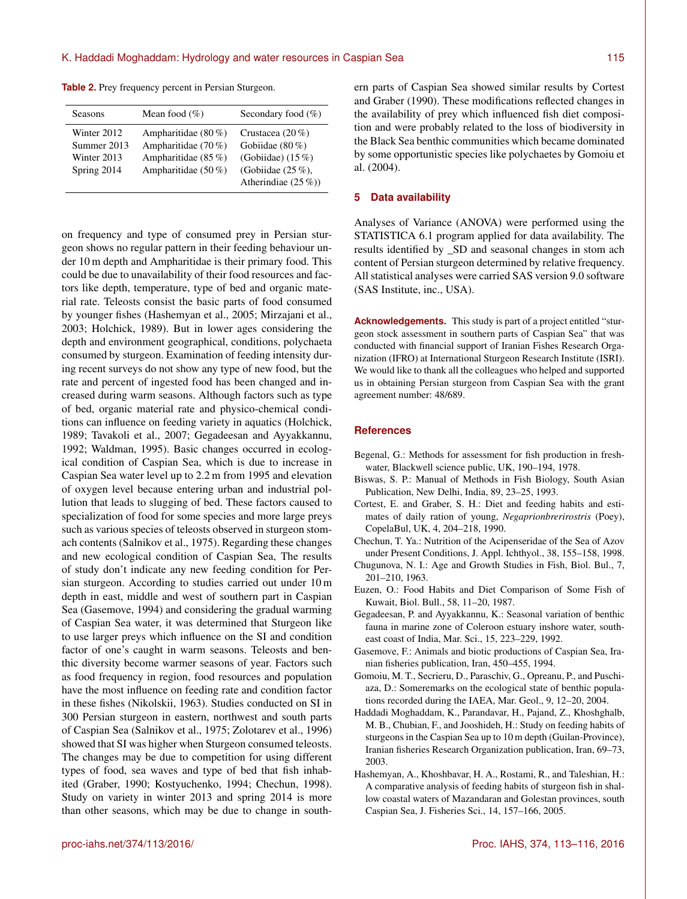**Table 2.** Prey frequency percent in Persian Sturgeon.

| Seasons     | Mean food $(\%)$      | Secondary food $(\%)$ |
|-------------|-----------------------|-----------------------|
| Winter 2012 | Ampharitidae $(80\%)$ | Crustacea $(20\%)$    |
| Summer 2013 | Ampharitidae $(70\%)$ | Gobiidae $(80\%)$     |
| Winter 2013 | Ampharitidae $(85\%)$ | (Gobiidae) $(15\%)$   |
| Spring 2014 | Ampharitidae $(50\%)$ | (Gobiidae $(25\%)$ ,  |
|             |                       | Atherindiae $(25\%)$  |

on frequency and type of consumed prey in Persian sturgeon shows no regular pattern in their feeding behaviour under 10 m depth and Ampharitidae is their primary food. This could be due to unavailability of their food resources and factors like depth, temperature, type of bed and organic material rate. Teleosts consist the basic parts of food consumed by younger fishes (Hashemyan et al., 2005; Mirzajani et al., 2003; Holchick, 1989). But in lower ages considering the depth and environment geographical, conditions, polychaeta consumed by sturgeon. Examination of feeding intensity during recent surveys do not show any type of new food, but the rate and percent of ingested food has been changed and increased during warm seasons. Although factors such as type of bed, organic material rate and physico-chemical conditions can influence on feeding variety in aquatics (Holchick, 1989; Tavakoli et al., 2007; Gegadeesan and Ayyakkannu, 1992; Waldman, 1995). Basic changes occurred in ecological condition of Caspian Sea, which is due to increase in Caspian Sea water level up to 2.2 m from 1995 and elevation of oxygen level because entering urban and industrial pollution that leads to slugging of bed. These factors caused to specialization of food for some species and more large preys such as various species of teleosts observed in sturgeon stomach contents (Salnikov et al., 1975). Regarding these changes and new ecological condition of Caspian Sea, The results of study don't indicate any new feeding condition for Persian sturgeon. According to studies carried out under 10 m depth in east, middle and west of southern part in Caspian Sea (Gasemove, 1994) and considering the gradual warming of Caspian Sea water, it was determined that Sturgeon like to use larger preys which influence on the SI and condition factor of one's caught in warm seasons. Teleosts and benthic diversity become warmer seasons of year. Factors such as food frequency in region, food resources and population have the most influence on feeding rate and condition factor in these fishes (Nikolskii, 1963). Studies conducted on SI in 300 Persian sturgeon in eastern, northwest and south parts of Caspian Sea (Salnikov et al., 1975; Zolotarev et al., 1996) showed that SI was higher when Sturgeon consumed teleosts. The changes may be due to competition for using different types of food, sea waves and type of bed that fish inhabited (Graber, 1990; Kostyuchenko, 1994; Chechun, 1998). Study on variety in winter 2013 and spring 2014 is more than other seasons, which may be due to change in southern parts of Caspian Sea showed similar results by Cortest and Graber (1990). These modifications reflected changes in the availability of prey which influenced fish diet composition and were probably related to the loss of biodiversity in the Black Sea benthic communities which became dominated by some opportunistic species like polychaetes by Gomoiu et al. (2004).

#### **5 Data availability**

Analyses of Variance (ANOVA) were performed using the STATISTICA 6.1 program applied for data availability. The results identified by \_SD and seasonal changes in stom ach content of Persian sturgeon determined by relative frequency. All statistical analyses were carried SAS version 9.0 software (SAS Institute, inc., USA).

**Acknowledgements.** This study is part of a project entitled "sturgeon stock assessment in southern parts of Caspian Sea" that was conducted with financial support of Iranian Fishes Research Organization (IFRO) at International Sturgeon Research Institute (ISRI). We would like to thank all the colleagues who helped and supported us in obtaining Persian sturgeon from Caspian Sea with the grant agreement number: 48/689.

#### **References**

- Begenal, G.: Methods for assessment for fish production in freshwater, Blackwell science public, UK, 190–194, 1978.
- Biswas, S. P.: Manual of Methods in Fish Biology, South Asian Publication, New Delhi, India, 89, 23–25, 1993.
- Cortest, E. and Graber, S. H.: Diet and feeding habits and estimates of daily ration of young, *Negaprionbrerirostris* (Poey), CopelaBul, UK, 4, 204–218, 1990.
- Chechun, T. Ya.: Nutrition of the Acipenseridae of the Sea of Azov under Present Conditions, J. Appl. Ichthyol., 38, 155–158, 1998.
- Chugunova, N. I.: Age and Growth Studies in Fish, Biol. Bul., 7, 201–210, 1963.
- Euzen, O.: Food Habits and Diet Comparison of Some Fish of Kuwait, Biol. Bull., 58, 11–20, 1987.
- Gegadeesan, P. and Ayyakkannu, K.: Seasonal variation of benthic fauna in marine zone of Coleroon estuary inshore water, southeast coast of India, Mar. Sci., 15, 223–229, 1992.
- Gasemove, F.: Animals and biotic productions of Caspian Sea, Iranian fisheries publication, Iran, 450–455, 1994.
- Gomoiu, M. T., Secrieru, D., Paraschiv, G., Opreanu, P., and Puschiaza, D.: Someremarks on the ecological state of benthic populations recorded during the IAEA, Mar. Geol., 9, 12–20, 2004.
- Haddadi Moghaddam, K., Parandavar, H., Pajand, Z., Khoshghalb, M. B., Chubian, F., and Jooshideh, H.: Study on feeding habits of sturgeons in the Caspian Sea up to 10 m depth (Guilan-Province), Iranian fisheries Research Organization publication, Iran, 69–73, 2003.
- Hashemyan, A., Khoshbavar, H. A., Rostami, R., and Taleshian, H.: A comparative analysis of feeding habits of sturgeon fish in shallow coastal waters of Mazandaran and Golestan provinces, south Caspian Sea, J. Fisheries Sci., 14, 157–166, 2005.